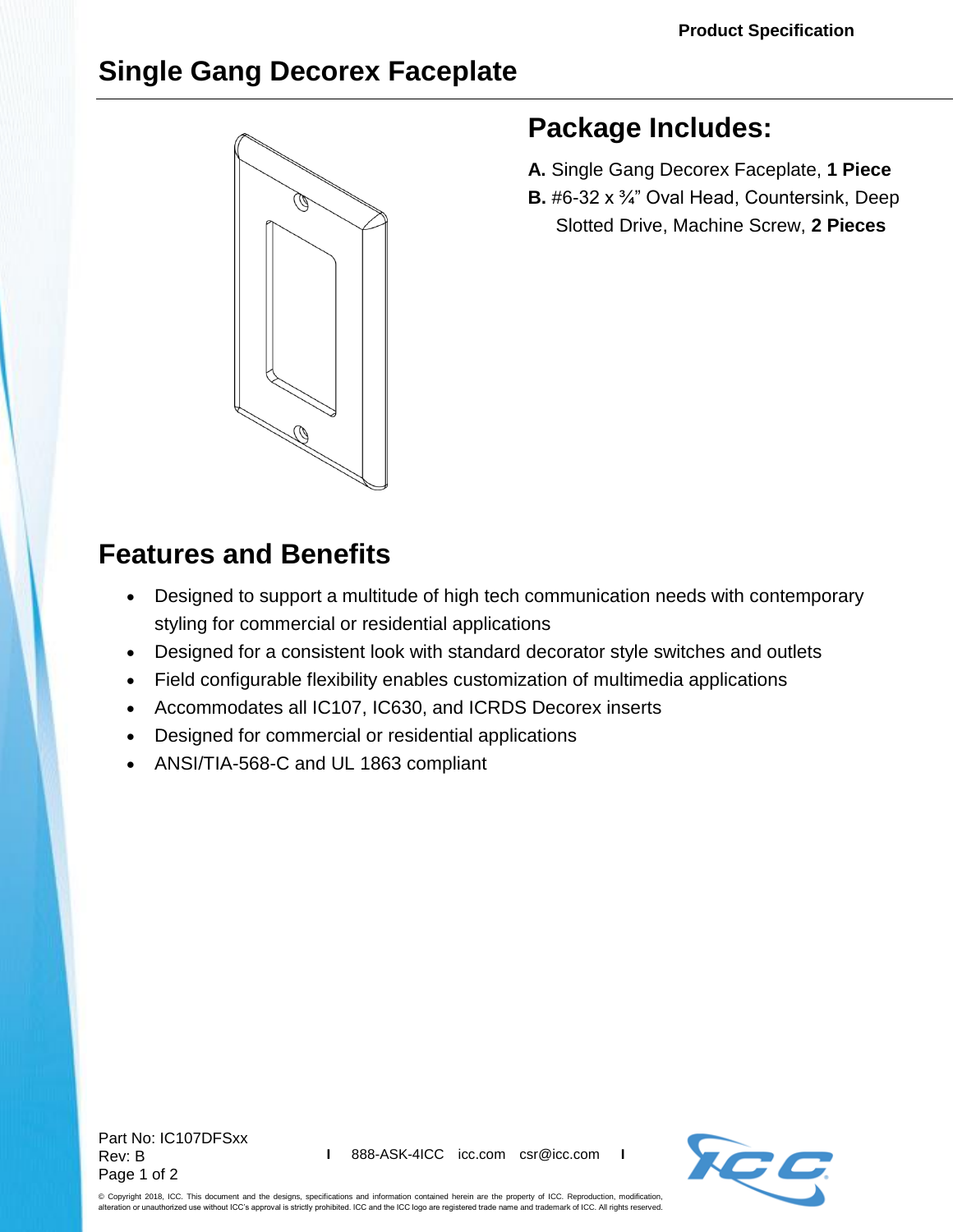## **Single Gang Decorex Faceplate**



## **Package Includes:**

- **A.** Single Gang Decorex Faceplate, **1 Piece**
- **B.** #6-32 x ¾" Oval Head, Countersink, Deep Slotted Drive, Machine Screw, **2 Pieces**

## **Features and Benefits**

- Designed to support a multitude of high tech communication needs with contemporary styling for commercial or residential applications
- Designed for a consistent look with standard decorator style switches and outlets
- Field configurable flexibility enables customization of multimedia applications
- Accommodates all IC107, IC630, and ICRDS Decorex inserts
- Designed for commercial or residential applications
- ANSI/TIA-568-C and UL 1863 compliant

Part No: IC107DFSxx Rev: B Page 1 of 2



© Copyright 2018, ICC. This document and the designs, specifications and information contained herein are the property of ICC. Reproduction, modification, alteration or unauthorized use without ICC's approval is strictly prohibited. ICC and the ICC logo are registered trade name and trademark of ICC. All rights reserved.